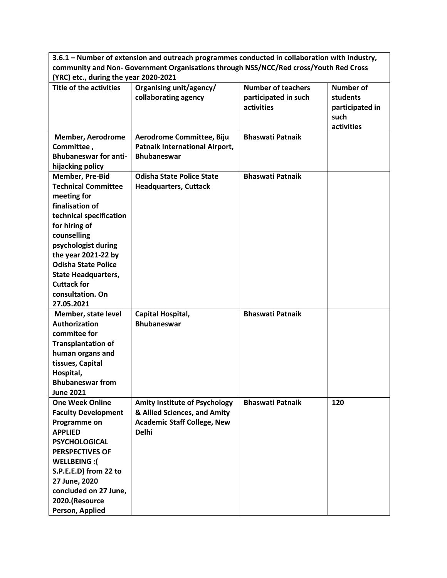|                                                                                                                                                                                                                                                                                                                     | 3.6.1 – Number of extension and outreach programmes conducted in collaboration with industry,                              |                                                                 |                                                                       |  |  |  |
|---------------------------------------------------------------------------------------------------------------------------------------------------------------------------------------------------------------------------------------------------------------------------------------------------------------------|----------------------------------------------------------------------------------------------------------------------------|-----------------------------------------------------------------|-----------------------------------------------------------------------|--|--|--|
| community and Non- Government Organisations through NSS/NCC/Red cross/Youth Red Cross                                                                                                                                                                                                                               |                                                                                                                            |                                                                 |                                                                       |  |  |  |
| (YRC) etc., during the year 2020-2021                                                                                                                                                                                                                                                                               |                                                                                                                            |                                                                 |                                                                       |  |  |  |
| <b>Title of the activities</b>                                                                                                                                                                                                                                                                                      | Organising unit/agency/<br>collaborating agency                                                                            | <b>Number of teachers</b><br>participated in such<br>activities | <b>Number of</b><br>students<br>participated in<br>such<br>activities |  |  |  |
| <b>Member, Aerodrome</b><br>Committee,<br><b>Bhubaneswar for anti-</b><br>hijacking policy                                                                                                                                                                                                                          | Aerodrome Committee, Biju<br><b>Patnaik International Airport,</b><br><b>Bhubaneswar</b>                                   | <b>Bhaswati Patnaik</b>                                         |                                                                       |  |  |  |
| <b>Member, Pre-Bid</b><br><b>Technical Committee</b><br>meeting for<br>finalisation of<br>technical specification<br>for hiring of<br>counselling<br>psychologist during<br>the year 2021-22 by<br><b>Odisha State Police</b><br><b>State Headquarters,</b><br><b>Cuttack for</b><br>consultation. On<br>27.05.2021 | <b>Odisha State Police State</b><br><b>Headquarters, Cuttack</b>                                                           | <b>Bhaswati Patnaik</b>                                         |                                                                       |  |  |  |
| Member, state level<br><b>Authorization</b><br>commitee for<br><b>Transplantation of</b><br>human organs and<br>tissues, Capital<br>Hospital,<br><b>Bhubaneswar from</b><br><b>June 2021</b>                                                                                                                        | Capital Hospital,<br><b>Bhubaneswar</b>                                                                                    | <b>Bhaswati Patnaik</b>                                         |                                                                       |  |  |  |
| <b>One Week Online</b><br><b>Faculty Development</b><br>Programme on<br><b>APPLIED</b><br><b>PSYCHOLOGICAL</b><br><b>PERSPECTIVES OF</b><br>WELLBEING:(<br>S.P.E.E.D) from 22 to<br>27 June, 2020<br>concluded on 27 June,<br>2020.(Resource<br>Person, Applied                                                     | <b>Amity Institute of Psychology</b><br>& Allied Sciences, and Amity<br><b>Academic Staff College, New</b><br><b>Delhi</b> | <b>Bhaswati Patnaik</b>                                         | 120                                                                   |  |  |  |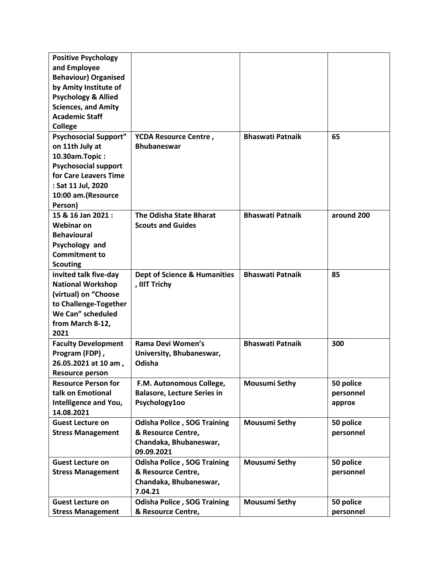| <b>Positive Psychology</b>     |                                             |                         |            |
|--------------------------------|---------------------------------------------|-------------------------|------------|
| and Employee                   |                                             |                         |            |
| <b>Behaviour) Organised</b>    |                                             |                         |            |
| by Amity Institute of          |                                             |                         |            |
| <b>Psychology &amp; Allied</b> |                                             |                         |            |
| <b>Sciences, and Amity</b>     |                                             |                         |            |
| <b>Academic Staff</b>          |                                             |                         |            |
| <b>College</b>                 |                                             |                         |            |
| <b>Psychosocial Support"</b>   |                                             | <b>Bhaswati Patnaik</b> | 65         |
| on 11th July at                | YCDA Resource Centre,<br><b>Bhubaneswar</b> |                         |            |
|                                |                                             |                         |            |
| 10.30am.Topic:                 |                                             |                         |            |
| <b>Psychosocial support</b>    |                                             |                         |            |
| for Care Leavers Time          |                                             |                         |            |
| : Sat 11 Jul, 2020             |                                             |                         |            |
| 10:00 am.(Resource             |                                             |                         |            |
| Person)                        |                                             |                         |            |
| 15 & 16 Jan 2021 :             | <b>The Odisha State Bharat</b>              | <b>Bhaswati Patnaik</b> | around 200 |
| <b>Webinar on</b>              | <b>Scouts and Guides</b>                    |                         |            |
| <b>Behavioural</b>             |                                             |                         |            |
| Psychology and                 |                                             |                         |            |
| <b>Commitment to</b>           |                                             |                         |            |
| <b>Scouting</b>                |                                             |                         |            |
| invited talk five-day          | <b>Dept of Science &amp; Humanities</b>     | <b>Bhaswati Patnaik</b> | 85         |
| <b>National Workshop</b>       | , IIIT Trichy                               |                         |            |
| (virtual) on "Choose           |                                             |                         |            |
| to Challenge-Together          |                                             |                         |            |
| We Can" scheduled              |                                             |                         |            |
| from March 8-12,               |                                             |                         |            |
| 2021                           |                                             |                         |            |
| <b>Faculty Development</b>     | Rama Devi Women's                           | <b>Bhaswati Patnaik</b> | 300        |
| Program (FDP),                 | University, Bhubaneswar,                    |                         |            |
| 26.05.2021 at 10 am,           | Odisha                                      |                         |            |
| <b>Resource person</b>         |                                             |                         |            |
| <b>Resource Person for</b>     | F.M. Autonomous College,                    | <b>Mousumi Sethy</b>    | 50 police  |
| talk on Emotional              | <b>Balasore, Lecture Series in</b>          |                         | personnel  |
| Intelligence and You,          | Psychology100                               |                         | approx     |
| 14.08.2021                     |                                             |                         |            |
| <b>Guest Lecture on</b>        | <b>Odisha Police, SOG Training</b>          | <b>Mousumi Sethy</b>    | 50 police  |
| <b>Stress Management</b>       | & Resource Centre,                          |                         | personnel  |
|                                | Chandaka, Bhubaneswar,                      |                         |            |
|                                | 09.09.2021                                  |                         |            |
| <b>Guest Lecture on</b>        | <b>Odisha Police, SOG Training</b>          | <b>Mousumi Sethy</b>    | 50 police  |
|                                | & Resource Centre,                          |                         | personnel  |
| <b>Stress Management</b>       | Chandaka, Bhubaneswar,                      |                         |            |
|                                | 7.04.21                                     |                         |            |
|                                |                                             |                         |            |
| <b>Guest Lecture on</b>        | <b>Odisha Police, SOG Training</b>          | <b>Mousumi Sethy</b>    | 50 police  |
| <b>Stress Management</b>       | & Resource Centre,                          |                         | personnel  |